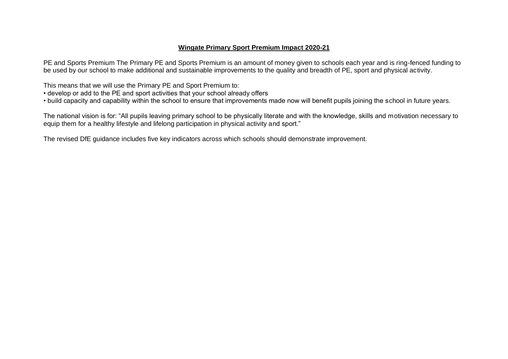#### **Wingate Primary Sport Premium Impact 2020-21**

PE and Sports Premium The Primary PE and Sports Premium is an amount of money given to schools each year and is ring-fenced funding to be used by our school to make additional and sustainable improvements to the quality and breadth of PE, sport and physical activity.

This means that we will use the Primary PE and Sport Premium to:

- develop or add to the PE and sport activities that your school already offers
- build capacity and capability within the school to ensure that improvements made now will benefit pupils joining the school in future years.

The national vision is for: "All pupils leaving primary school to be physically literate and with the knowledge, skills and motivation necessary to equip them for a healthy lifestyle and lifelong participation in physical activity and sport."

The revised DfE guidance includes five key indicators across which schools should demonstrate improvement.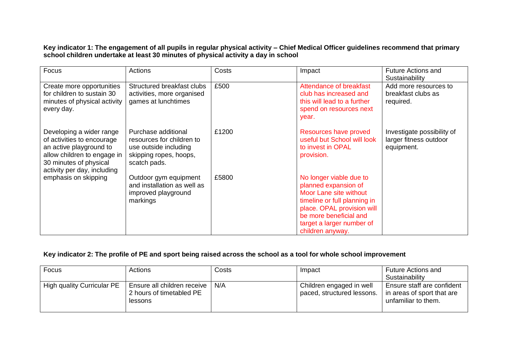**Key indicator 1: The engagement of all pupils in regular physical activity – Chief Medical Officer guidelines recommend that primary school children undertake at least 30 minutes of physical activity a day in school**

| Focus                                                                                                                                                                     | Actions                                                                                                             | Costs | Impact                                                                                                                                                                                                             | <b>Future Actions and</b><br>Sustainability                        |
|---------------------------------------------------------------------------------------------------------------------------------------------------------------------------|---------------------------------------------------------------------------------------------------------------------|-------|--------------------------------------------------------------------------------------------------------------------------------------------------------------------------------------------------------------------|--------------------------------------------------------------------|
| Create more opportunities<br>for children to sustain 30<br>minutes of physical activity<br>every day.                                                                     | Structured breakfast clubs<br>activities, more organised<br>games at lunchtimes                                     | £500  | Attendance of breakfast<br>club has increased and<br>this will lead to a further<br>spend on resources next<br>year.                                                                                               | Add more resources to<br>breakfast clubs as<br>required.           |
| Developing a wider range<br>of activities to encourage<br>an active playground to<br>allow children to engage in<br>30 minutes of physical<br>activity per day, including | Purchase additional<br>resources for children to<br>use outside including<br>skipping ropes, hoops,<br>scatch pads. | £1200 | Resources have proved<br>useful but School will look<br>to invest in OPAL<br>provision.                                                                                                                            | Investigate possibility of<br>larger fitness outdoor<br>equipment. |
| emphasis on skipping                                                                                                                                                      | Outdoor gym equipment<br>and installation as well as<br>improved playground<br>markings                             | £5800 | No longer viable due to<br>planned expansion of<br>Moor Lane site without<br>timeline or full planning in<br>place. OPAL provision will<br>be more beneficial and<br>target a larger number of<br>children anyway. |                                                                    |

### **Key indicator 2: The profile of PE and sport being raised across the school as a tool for whole school improvement**

| Focus                      | Actions                                                              | Costs | Impact                                                 | <b>Future Actions and</b><br>Sustainability                                     |
|----------------------------|----------------------------------------------------------------------|-------|--------------------------------------------------------|---------------------------------------------------------------------------------|
| High quality Curricular PE | Ensure all children receive  <br>2 hours of timetabled PE<br>lessons | N/A   | Children engaged in well<br>paced, structured lessons. | Ensure staff are confident<br>in areas of sport that are<br>unfamiliar to them. |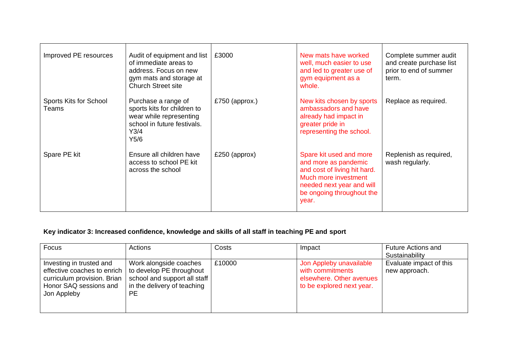| Improved PE resources                  | Audit of equipment and list<br>of immediate areas to<br>address. Focus on new<br>gym mats and storage at<br><b>Church Street site</b> | £3000          | New mats have worked<br>well, much easier to use<br>and led to greater use of<br>gym equipment as a<br>whole.                                                              | Complete summer audit<br>and create purchase list<br>prior to end of summer<br>term. |
|----------------------------------------|---------------------------------------------------------------------------------------------------------------------------------------|----------------|----------------------------------------------------------------------------------------------------------------------------------------------------------------------------|--------------------------------------------------------------------------------------|
| <b>Sports Kits for School</b><br>Teams | Purchase a range of<br>sports kits for children to<br>wear while representing<br>school in future festivals.<br>Y3/4<br>Y5/6          | £750 (approx.) | New kits chosen by sports<br>ambassadors and have<br>already had impact in<br>greater pride in<br>representing the school.                                                 | Replace as required.                                                                 |
| Spare PE kit                           | Ensure all children have<br>access to school PE kit<br>across the school                                                              | £250 (approx)  | Spare kit used and more<br>and more as pandemic<br>and cost of living hit hard.<br>Much more investment<br>needed next year and will<br>be ongoing throughout the<br>year. | Replenish as required,<br>wash regularly.                                            |

## **Key indicator 3: Increased confidence, knowledge and skills of all staff in teaching PE and sport**

| Focus                                                                                                                           | Actions                                                                                                                        | Costs  | Impact                                                                                               | <b>Future Actions and</b><br>Sustainability |
|---------------------------------------------------------------------------------------------------------------------------------|--------------------------------------------------------------------------------------------------------------------------------|--------|------------------------------------------------------------------------------------------------------|---------------------------------------------|
| Investing in trusted and<br>effective coaches to enrich<br>curriculum provision. Brian<br>Honor SAQ sessions and<br>Jon Appleby | Work alongside coaches<br>to develop PE throughout<br>school and support all staff<br>in the delivery of teaching<br><b>PE</b> | £10000 | Jon Appleby unavailable<br>with commitments<br>elsewhere. Other avenues<br>to be explored next year. | Evaluate impact of this<br>new approach.    |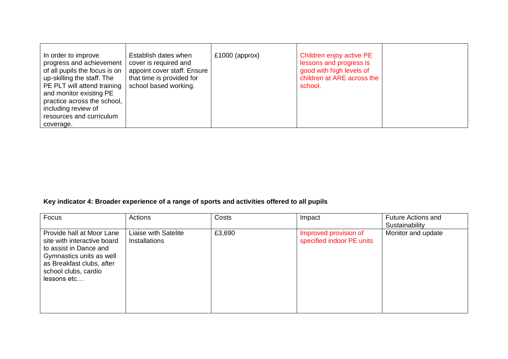| In order to improve<br>Establish dates when<br>progress and achievement<br>cover is required and<br>of all pupils the focus is on<br>appoint cover staff. Ensure<br>that time is provided for<br>up-skilling the staff. The<br>PE PLT will attend training<br>school based working.<br>and monitor existing PE<br>practice across the school,<br>including review of<br>resources and curriculum<br>coverage. | $£1000$ (approx) | Children enjoy active PE<br>lessons and progress is<br>good with high levels of<br>children at ARE across the<br>school. |  |
|---------------------------------------------------------------------------------------------------------------------------------------------------------------------------------------------------------------------------------------------------------------------------------------------------------------------------------------------------------------------------------------------------------------|------------------|--------------------------------------------------------------------------------------------------------------------------|--|
|---------------------------------------------------------------------------------------------------------------------------------------------------------------------------------------------------------------------------------------------------------------------------------------------------------------------------------------------------------------------------------------------------------------|------------------|--------------------------------------------------------------------------------------------------------------------------|--|

# **Key indicator 4: Broader experience of a range of sports and activities offered to all pupils**

| Focus                                                                                                                                                                              | Actions                                      | Costs  | Impact                                             | <b>Future Actions and</b><br>Sustainability |
|------------------------------------------------------------------------------------------------------------------------------------------------------------------------------------|----------------------------------------------|--------|----------------------------------------------------|---------------------------------------------|
| Provide hall at Moor Lane<br>site with interactive board<br>to assist in Dance and<br>Gymnastics units as well<br>as Breakfast clubs, after<br>school clubs, cardio<br>lessons etc | Liaise with Satelite<br><b>Installations</b> | £3,690 | Improved provision of<br>specified indoor PE units | Monitor and update                          |